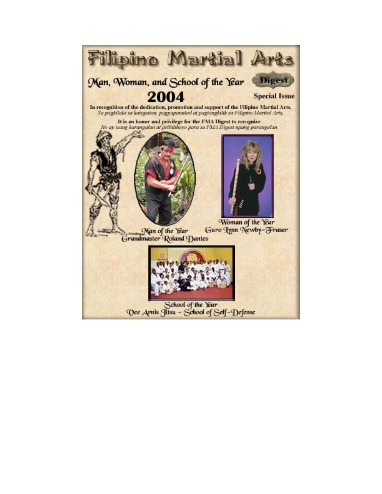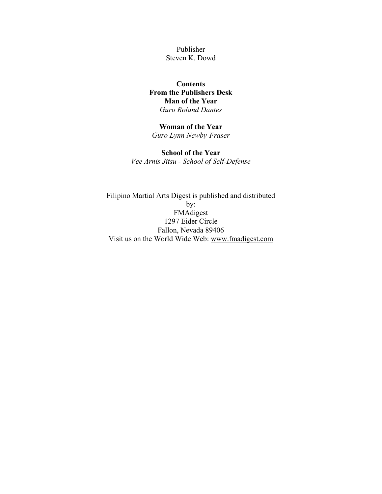Publisher Steven K. Dowd

### **Contents [From the Publishers Desk](#page-2-0) [Man of the Year](#page-3-0)** *Guro Roland Dantes*

### **[Woman of the Year](#page-7-0)**

*Guro Lynn Newby-Fraser* 

### **[School of the Year](#page-8-0)**

*Vee Arnis Jitsu - School of Self-Defense*

Filipino Martial Arts Digest is published and distributed by: FMAdigest 1297 Eider Circle Fallon, Nevada 89406 Visit us on the World Wide Web: [www.fmadigest.com](http://www.fmadigest.com/)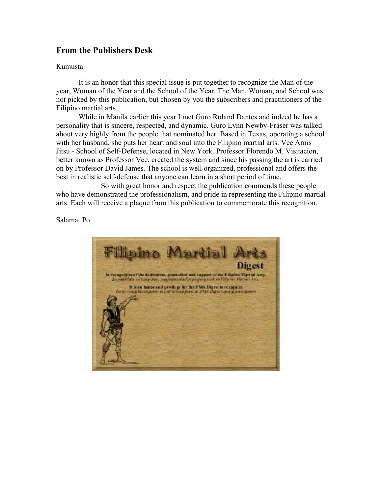## <span id="page-2-0"></span>**From the Publishers Desk**

#### Kumusta

It is an honor that this special issue is put together to recognize the Man of the year, Woman of the Year and the School of the Year. The Man, Woman, and School was not picked by this publication, but chosen by you the subscribers and practitioners of the Filipino martial arts.

While in Manila earlier this year I met Guro Roland Dantes and indeed he has a personality that is sincere, respected, and dynamic. Guro Lynn Newby-Fraser was talked about very highly from the people that nominated her. Based in Texas, operating a school with her husband, she puts her heart and soul into the Filipino martial arts. Vee Arnis Jitsu - School of Self-Defense, located in New York. Professor Florendo M. Visitacion, better known as Professor Vee, created the system and since his passing the art is carried on by Professor David James. The school is well organized, professional and offers the best in realistic self-defense that anyone can learn in a short period of time.

So with great honor and respect the publication commends these people who have demonstrated the professionalism, and pride in representing the Filipino martial arts. Each will receive a plaque from this publication to commemorate this recognition.

#### Salamat Po

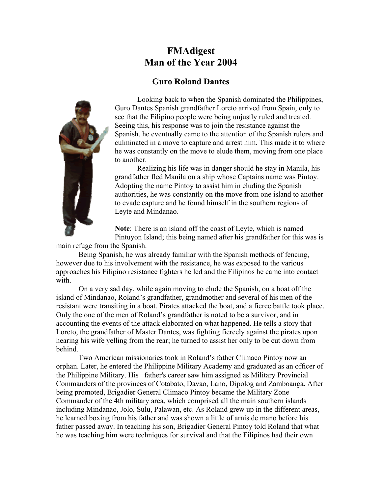# **FMAdigest Man of the Year 2004**

### **Guro Roland Dantes**

<span id="page-3-0"></span>

Looking back to when the Spanish dominated the Philippines, Guro Dantes Spanish grandfather Loreto arrived from Spain, only to see that the Filipino people were being unjustly ruled and treated. Seeing this, his response was to join the resistance against the Spanish, he eventually came to the attention of the Spanish rulers and culminated in a move to capture and arrest him. This made it to where he was constantly on the move to elude them, moving from one place to another.

Realizing his life was in danger should he stay in Manila, his grandfather fled Manila on a ship whose Captains name was Pintoy. Adopting the name Pintoy to assist him in eluding the Spanish authorities, he was constantly on the move from one island to another to evade capture and he found himself in the southern regions of Leyte and Mindanao.

**Note**: There is an island off the coast of Leyte, which is named Pintuyon Island; this being named after his grandfather for this was is

main refuge from the Spanish.

Being Spanish, he was already familiar with the Spanish methods of fencing, however due to his involvement with the resistance, he was exposed to the various approaches his Filipino resistance fighters he led and the Filipinos he came into contact with.

On a very sad day, while again moving to elude the Spanish, on a boat off the island of Mindanao, Roland's grandfather, grandmother and several of his men of the resistant were transiting in a boat. Pirates attacked the boat, and a fierce battle took place. Only the one of the men of Roland's grandfather is noted to be a survivor, and in accounting the events of the attack elaborated on what happened. He tells a story that Loreto, the grandfather of Master Dantes, was fighting fiercely against the pirates upon hearing his wife yelling from the rear; he turned to assist her only to be cut down from behind.

Two American missionaries took in Roland's father Climaco Pintoy now an orphan. Later, he entered the Philippine Military Academy and graduated as an officer of the Philippine Military. His father's career saw him assigned as Military Provincial Commanders of the provinces of Cotabato, Davao, Lano, Dipolog and Zamboanga. After being promoted, Brigadier General Climaco Pintoy became the Military Zone Commander of the 4th military area, which comprised all the main southern islands including Mindanao, Jolo, Sulu, Palawan, etc. As Roland grew up in the different areas, he learned boxing from his father and was shown a little of arnis de mano before his father passed away. In teaching his son, Brigadier General Pintoy told Roland that what he was teaching him were techniques for survival and that the Filipinos had their own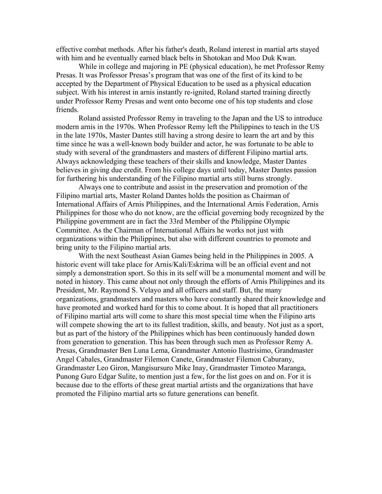effective combat methods. After his father's death, Roland interest in martial arts stayed with him and he eventually earned black belts in Shotokan and Moo Duk Kwan.

While in college and majoring in PE (physical education), he met Professor Remy Presas. It was Professor Presas's program that was one of the first of its kind to be accepted by the Department of Physical Education to be used as a physical education subject. With his interest in arnis instantly re-ignited, Roland started training directly under Professor Remy Presas and went onto become one of his top students and close friends.

Roland assisted Professor Remy in traveling to the Japan and the US to introduce modern arnis in the 1970s. When Professor Remy left the Philippines to teach in the US in the late 1970s, Master Dantes still having a strong desire to learn the art and by this time since he was a well-known body builder and actor, he was fortunate to be able to study with several of the grandmasters and masters of different Filipino martial arts. Always acknowledging these teachers of their skills and knowledge, Master Dantes believes in giving due credit. From his college days until today, Master Dantes passion for furthering his understanding of the Filipino martial arts still burns strongly.

Always one to contribute and assist in the preservation and promotion of the Filipino martial arts, Master Roland Dantes holds the position as Chairman of International Affairs of Arnis Philippines, and the International Arnis Federation, Arnis Philippines for those who do not know, are the official governing body recognized by the Philippine government are in fact the 33rd Member of the Philippine Olympic Committee. As the Chairman of International Affairs he works not just with organizations within the Philippines, but also with different countries to promote and bring unity to the Filipino martial arts.

 With the next Southeast Asian Games being held in the Philippines in 2005. A historic event will take place for Arnis/Kali/Eskrima will be an official event and not simply a demonstration sport. So this in its self will be a monumental moment and will be noted in history. This came about not only through the efforts of Arnis Philippines and its President, Mr. Raymond S. Velayo and all officers and staff. But, the many organizations, grandmasters and masters who have constantly shared their knowledge and have promoted and worked hard for this to come about. It is hoped that all practitioners of Filipino martial arts will come to share this most special time when the Filipino arts will compete showing the art to its fullest tradition, skills, and beauty. Not just as a sport, but as part of the history of the Philippines which has been continuously handed down from generation to generation. This has been through such men as Professor Remy A. Presas, Grandmaster Ben Luna Lema, Grandmaster Antonio Ilustrisimo, Grandmaster Angel Cabales, Grandmaster Filemon Canete, Grandmaster Filemon Caburany, Grandmaster Leo Giron, Mangisursuro Mike Inay, Grandmaster Timoteo Maranga, Punong Guro Edgar Sulite, to mention just a few, for the list goes on and on. For it is because due to the efforts of these great martial artists and the organizations that have promoted the Filipino martial arts so future generations can benefit.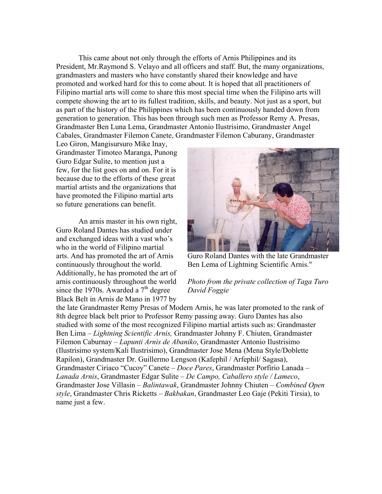This came about not only through the efforts of Arnis Philippines and its President, Mr.Raymond S. Velayo and all officers and staff. But, the many organizations, grandmasters and masters who have constantly shared their knowledge and have promoted and worked hard for this to come about. It is hoped that all practitioners of Filipino martial arts will come to share this most special time when the Filipino arts will compete showing the art to its fullest tradition, skills, and beauty. Not just as a sport, but as part of the history of the Philippines which has been continuously handed down from generation to generation. This has been through such men as Professor Remy A. Presas, Grandmaster Ben Luna Lema, Grandmaster Antonio Ilustrisimo, Grandmaster Angel Cabales, Grandmaster Filemon Canete, Grandmaster Filemon Caburany, Grandmaster

Leo Giron, Mangisursuro Mike Inay, Grandmaster Timoteo Maranga, Punong Guro Edgar Sulite, to mention just a few, for the list goes on and on. For it is because due to the efforts of these great martial artists and the organizations that have promoted the Filipino martial arts so future generations can benefit.

An arnis master in his own right, Guro Roland Dantes has studied under and exchanged ideas with a vast who's who in the world of Filipino martial arts. And has promoted the art of Arnis continuously throughout the world. Additionally, he has promoted the art of arnis continuously throughout the world since the 1970s. Awarded a  $7<sup>th</sup>$  degree Black Belt in Arnis de Mano in 1977 by



Guro Roland Dantes with the late Grandmaster Ben Lema of Lightning Scientific Arnis."

### *Photo from the private collection of Taga Turo David Foggie*

the late Grandmaster Remy Presas of Modern Arnis, he was later promoted to the rank of 8th degree black belt prior to Professor Remy passing away. Guro Dantes has also studied with some of the most recognized Filipino martial artists such as: Grandmaster Ben Lima – *Lightning Scientific Arnis,* Grandmaster Johnny F. Chiuten, Grandmaster Filemon Caburnay – *Lapunti Arnis de Abaniko*, Grandmaster Antonio Ilustrisimo (Ilustrisimo system/Kali Ilustrisimo), Grandmaster Jose Mena (Mena Style/Doblette Rapilon), Grandmaster Dr. Guillermo Lengson (Kafephil / Arfephil/ Sagasa), Grandmaster Ciriaco "Cucoy" Canete – *Doce Pares*, Grandmaster Porfirio Lanada – *Lanada Arnis*, Grandmaster Edgar Sulite – *De Campo, Caballero style / Lameco*, Grandmaster Jose Villasin – *Balintawak*, Grandmaster Johnny Chiuten – *Combined Open style*, Grandmaster Chris Ricketts – *Bakbakan*, Grandmaster Leo Gaje (Pekiti Tirsia), to name just a few.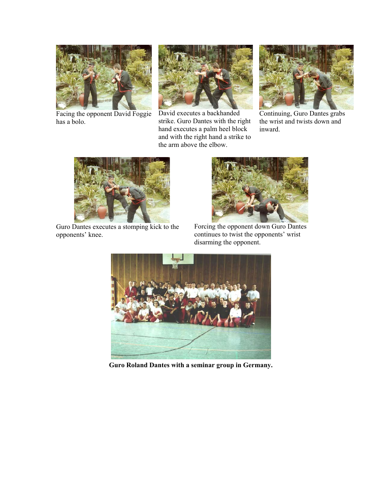

Facing the opponent David Foggie has a bolo.



David executes a backhanded strike. Guro Dantes with the right hand executes a palm heel block and with the right hand a strike to the arm above the elbow.



Continuing, Guro Dantes grabs the wrist and twists down and inward.



Guro Dantes executes a stomping kick to the opponents' knee.



Forcing the opponent down Guro Dantes continues to twist the opponents' wrist disarming the opponent.



**Guro Roland Dantes with a seminar group in Germany.**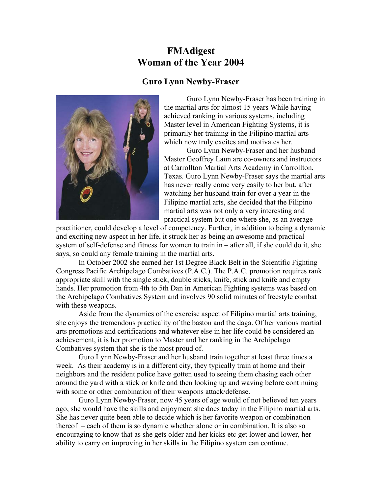# **FMAdigest Woman of the Year 2004**

# **Guro Lynn Newby-Fraser**

<span id="page-7-0"></span>

Guro Lynn Newby-Fraser has been training in the martial arts for almost 15 years While having achieved ranking in various systems, including Master level in American Fighting Systems, it is primarily her training in the Filipino martial arts which now truly excites and motivates her.

Guro Lynn Newby-Fraser and her husband Master Geoffrey Laun are co-owners and instructors at Carrollton Martial Arts Academy in Carrollton, Texas. Guro Lynn Newby-Fraser says the martial arts has never really come very easily to her but, after watching her husband train for over a year in the Filipino martial arts, she decided that the Filipino martial arts was not only a very interesting and practical system but one where she, as an average

practitioner, could develop a level of competency. Further, in addition to being a dynamic and exciting new aspect in her life, it struck her as being an awesome and practical system of self-defense and fitness for women to train in – after all, if she could do it, she says, so could any female training in the martial arts.

In October 2002 she earned her 1st Degree Black Belt in the Scientific Fighting Congress Pacific Archipelago Combatives (P.A.C.). The P.A.C. promotion requires rank appropriate skill with the single stick, double sticks, knife, stick and knife and empty hands. Her promotion from 4th to 5th Dan in American Fighting systems was based on the Archipelago Combatives System and involves 90 solid minutes of freestyle combat with these weapons.

Aside from the dynamics of the exercise aspect of Filipino martial arts training, she enjoys the tremendous practicality of the baston and the daga. Of her various martial arts promotions and certifications and whatever else in her life could be considered an achievement, it is her promotion to Master and her ranking in the Archipelago Combatives system that she is the most proud of.

Guro Lynn Newby-Fraser and her husband train together at least three times a week. As their academy is in a different city, they typically train at home and their neighbors and the resident police have gotten used to seeing them chasing each other around the yard with a stick or knife and then looking up and waving before continuing with some or other combination of their weapons attack/defense.

Guro Lynn Newby-Fraser, now 45 years of age would of not believed ten years ago, she would have the skills and enjoyment she does today in the Filipino martial arts. She has never quite been able to decide which is her favorite weapon or combination thereof – each of them is so dynamic whether alone or in combination. It is also so encouraging to know that as she gets older and her kicks etc get lower and lower, her ability to carry on improving in her skills in the Filipino system can continue.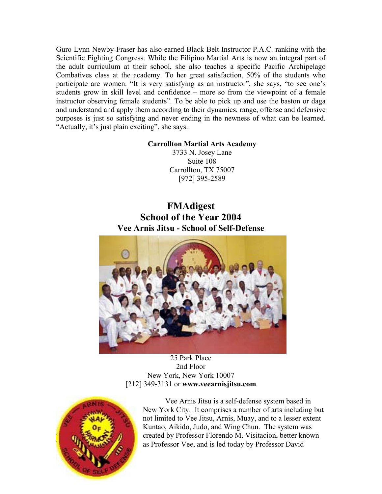<span id="page-8-0"></span>Guro Lynn Newby-Fraser has also earned Black Belt Instructor P.A.C. ranking with the Scientific Fighting Congress. While the Filipino Martial Arts is now an integral part of the adult curriculum at their school, she also teaches a specific Pacific Archipelago Combatives class at the academy. To her great satisfaction, 50% of the students who participate are women. "It is very satisfying as an instructor", she says, "to see one's students grow in skill level and confidence – more so from the viewpoint of a female instructor observing female students". To be able to pick up and use the baston or daga and understand and apply them according to their dynamics, range, offense and defensive purposes is just so satisfying and never ending in the newness of what can be learned. "Actually, it's just plain exciting", she says.

### **Carrollton Martial Arts Academy**

3733 N. Josey Lane Suite 108 Carrollton, TX 75007 [972] 395-2589

# **FMAdigest School of the Year 2004 Vee Arnis Jitsu - School of Self-Defense**



### 25 Park Place 2nd Floor New York, New York 10007 [212] 349-3131 or **[www.veearnisjitsu.com](http://www.veearnisjitsu.com/)**



Vee Arnis Jitsu is a self-defense system based in New York City. It comprises a number of arts including but not limited to Vee Jitsu, Arnis, Muay, and to a lesser extent Kuntao, Aikido, Judo, and Wing Chun. The system was created by Professor Florendo M. Visitacion, better known as Professor Vee, and is led today by Professor David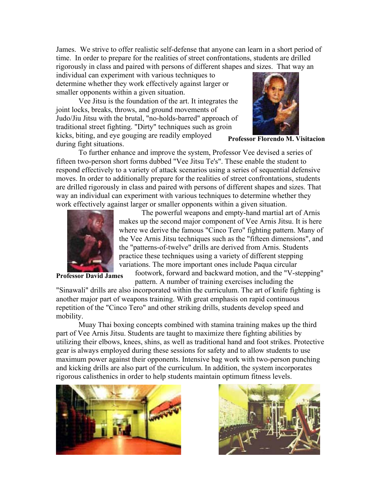James. We strive to offer realistic self-defense that anyone can learn in a short period of time. In order to prepare for the realities of street confrontations, students are drilled rigorously in class and paired with persons of different shapes and sizes. That way an

individual can experiment with various techniques to determine whether they work effectively against larger or smaller opponents within a given situation.

Vee Jitsu is the foundation of the art. It integrates the joint locks, breaks, throws, and ground movements of Judo/Jiu Jitsu with the brutal, "no-holds-barred" approach of traditional street fighting. "Dirty" techniques such as groin kicks, biting, and eye gouging are readily employed during fight situations.



**Professor Florendo M. Visitacion** 

To further enhance and improve the system, Professor Vee devised a series of fifteen two-person short forms dubbed "Vee Jitsu Te's". These enable the student to respond effectively to a variety of attack scenarios using a series of sequential defensive moves. In order to additionally prepare for the realities of street confrontations, students are drilled rigorously in class and paired with persons of different shapes and sizes. That way an individual can experiment with various techniques to determine whether they work effectively against larger or smaller opponents within a given situation.



The powerful weapons and empty-hand martial art of Arnis makes up the second major component of Vee Arnis Jitsu. It is here where we derive the famous "Cinco Tero" fighting pattern. Many of the Vee Arnis Jitsu techniques such as the "fifteen dimensions", an d the "patterns-of-twelve" drills are derived from Arnis. Students practice these techniques using a variety of different stepping variations. The more important ones include Paqua circular

**Professor** David James

footwork, forward and backward motion, and the "V-step ping" pattern. A number of training exercises including the

"Sinawali" drills are also incorporated within the curriculum. The art of knife fighting is another major part of weapons training. With great emphasis on rapid continuous repetition of the "Cinco Tero" and other striking drills, students develop speed and mobility.

Muay Thai boxing concepts combined with stamina training makes up the third part of Vee Arnis Jitsu. Students are taught to maximize there fighting abilities by utilizing their elbows, knees, shins, as well as traditional hand and foot strikes. Protective gear is always employed during these sessions for safety and to allow students to use maximum power against their opponents. Intensive bag work with two-person punching and kicking drills are also part of the curriculum. In addition, the system incorporates rigorous calisthenics in order to help students maintain optimum fitness levels.



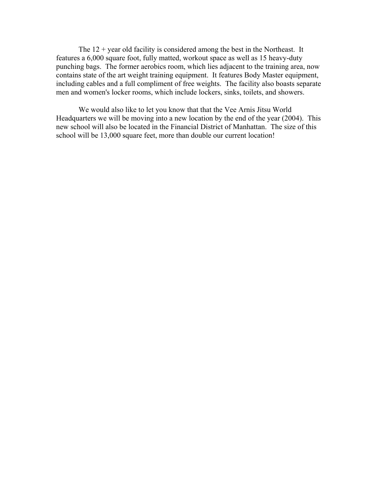The  $12 +$  year old facility is considered among the best in the Northeast. It features a 6,000 square foot, fully matted, workout space as well as 15 heavy-duty punching bags. The former aerobics room, which lies adjacent to the training area, now contains state of the art weight training equipment. It features Body Master equipment, including cables and a full compliment of free weights. The facility also boasts separate men and women's locker rooms, which include lockers, sinks, toilets, and showers.

We would also like to let you know that that the Vee Arnis Jitsu World Headquarters we will be moving into a new location by the end of the year (2004). This new school will also be located in the Financial District of Manhattan. The size of this school will be 13,000 square feet, more than double our current location!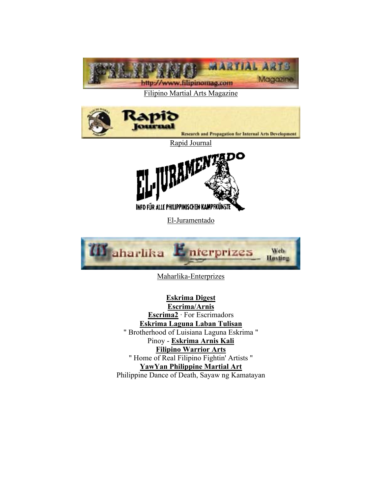

## [Filipino Martial Arts Magazine](http://www.filipinomag.com/)



# **[Eskrima Digest](http://www.martialartsresource.com/filipino/filframe.htm)**

**[Escrima/Arnis](http://topica.com/lists/escrima_arnis) [Escrima2](http://groups.yahoo.com/group/escrima2)** · For Escrimadors **[Eskrima Laguna Laban Tulisan](http://groups.yahoo.com/group/eskrimalagunalabantulisan)** " Brotherhood of Luisiana Laguna Eskrima " Pinoy - **[Eskrima Arnis Kali](http://groups.yahoo.com/group/peak-l/) [Filipino Warrior Arts](http://groups.yahoo.com/group/filipinowarriorarts2)** " Home of Real Filipino Fightin' Artists " **[YawYan Philippine Martial Art](http://groups.yahoo.com/group/yawyanphilippinemartialart)** Philippine Dance of Death, Sayaw ng Kamatayan